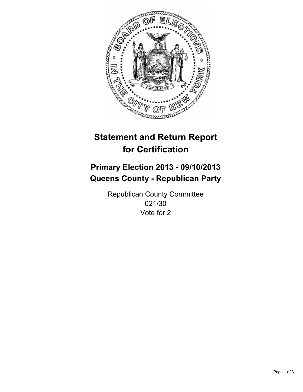

# **Statement and Return Report for Certification**

# **Primary Election 2013 - 09/10/2013 Queens County - Republican Party**

Republican County Committee 021/30 Vote for 2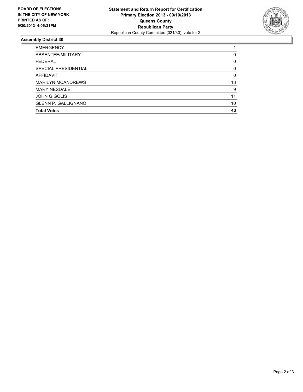

## **Assembly District 30**

| <b>EMERGENCY</b>           |    |
|----------------------------|----|
| ABSENTEE/MILITARY          | 0  |
| <b>FEDERAL</b>             | 0  |
| SPECIAL PRESIDENTIAL       | 0  |
| AFFIDAVIT                  | 0  |
| <b>MARILYN MCANDREWS</b>   | 13 |
| <b>MARY NESDALE</b>        | 9  |
| <b>JOHN G.GOLIS</b>        | 11 |
| <b>GLENN P. GALLIGNANO</b> | 10 |
| <b>Total Votes</b>         | 43 |